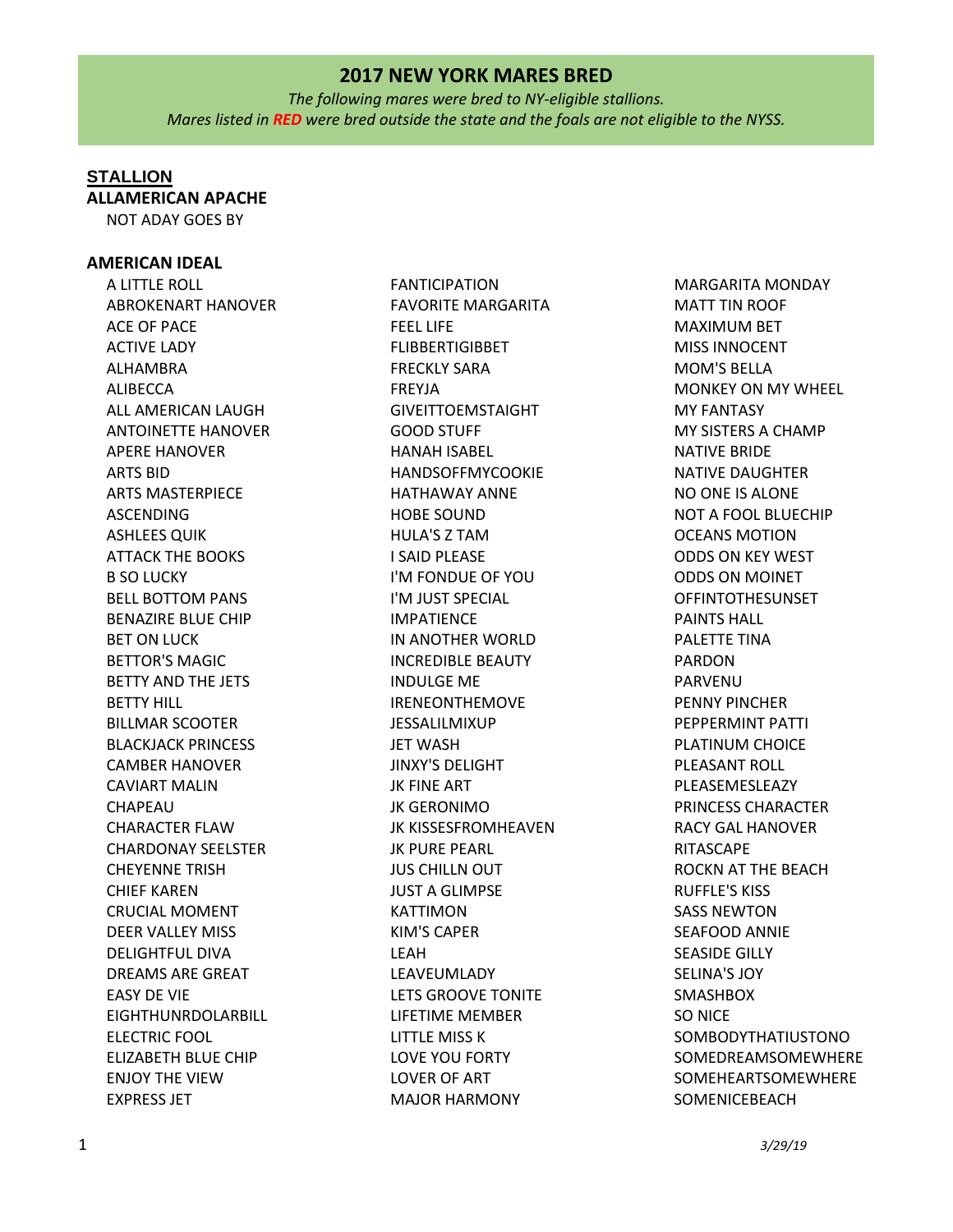*The following mares were bred to NY-eligible stallions. Mares listed in RED were bred outside the state and the foals are not eligible to the NYSS.*

# **STALLION**

**ALLAMERICAN APACHE**

NOT ADAY GOES BY

## **AMERICAN IDEAL**

A LITTLE ROLL ABROKENART HANOVER ACE OF PACE ACTIVE LADY ALHAMBRA ALIBECCA ALL AMERICAN LAUGH ANTOINETTE HANOVER APERE HANOVER ARTS BID ARTS MASTERPIECE ASCENDING ASHLEES QUIK ATTACK THE BOOKS B SO LUCKY BELL BOTTOM PANS BENAZIRE BLUE CHIP BET ON LUCK BETTOR'S MAGIC BETTY AND THE JETS BETTY HILL BILLMAR SCOOTER BLACKJACK PRINCESS CAMBER HANOVER CAVIART MALIN CHAPEAU CHARACTER FLAW CHARDONAY SEELSTER CHEYENNE TRISH CHIEF KAREN CRUCIAL MOMENT DEER VALLEY MISS DELIGHTFUL DIVA DREAMS ARE GREAT EASY DE VIE EIGHTHUNRDOLARBILL ELECTRIC FOOL ELIZABETH BLUE CHIP ENJOY THE VIEW EXPRESS JET

FANTICIPATION FAVORITE MARGARITA FEEL LIFE FLIBBERTIGIBBET FRECKLY SARA FREYJA GIVEITTOEMSTAIGHT GOOD STUFF HANAH ISABEL HANDSOFFMYCOOKIE HATHAWAY ANNE HOBE SOUND HULA'S Z TAM I SAID PLEASE I'M FONDUE OF YOU I'M JUST SPECIAL IMPATIENCE IN ANOTHER WORLD INCREDIBLE BEAUTY INDULGE ME IRENEONTHEMOVE JESSALILMIXUP **JET WASH** JINXY'S DELIGHT JK FINE ART JK GERONIMO JK KISSESFROMHEAVEN JK PURE PEARL JUS CHILLN OUT JUST A GLIMPSE KATTIMON KIM'S CAPER LEAH LEAVEUMLADY LETS GROOVE TONITE LIFETIME MEMBER LITTLE MISS K LOVE YOU FORTY LOVER OF ART MAJOR HARMONY

MARGARITA MONDAY MATT TIN ROOF MAXIMUM BET MISS INNOCENT MOM'S BELLA MONKEY ON MY WHEEL MY FANTASY MY SISTERS A CHAMP NATIVE BRIDE NATIVE DAUGHTER NO ONE IS ALONE NOT A FOOL BLUECHIP OCEANS MOTION ODDS ON KEY WEST ODDS ON MOINET OFFINTOTHESUNSET PAINTS HALL PALETTE TINA PARDON PARVENU PENNY PINCHER PEPPERMINT PATTI PLATINUM CHOICE PLEASANT ROLL PLEASEMESLEAZY PRINCESS CHARACTER RACY GAL HANOVER RITASCAPE ROCKN AT THE BEACH RUFFLE'S KISS SASS NEWTON SEAFOOD ANNIE SEASIDE GILLY SELINA'S JOY SMASHBOX SO NICE SOMBODYTHATIUSTONO SOMEDREAMSOMEWHERE SOMEHEARTSOMEWHERE **SOMENICEBEACH**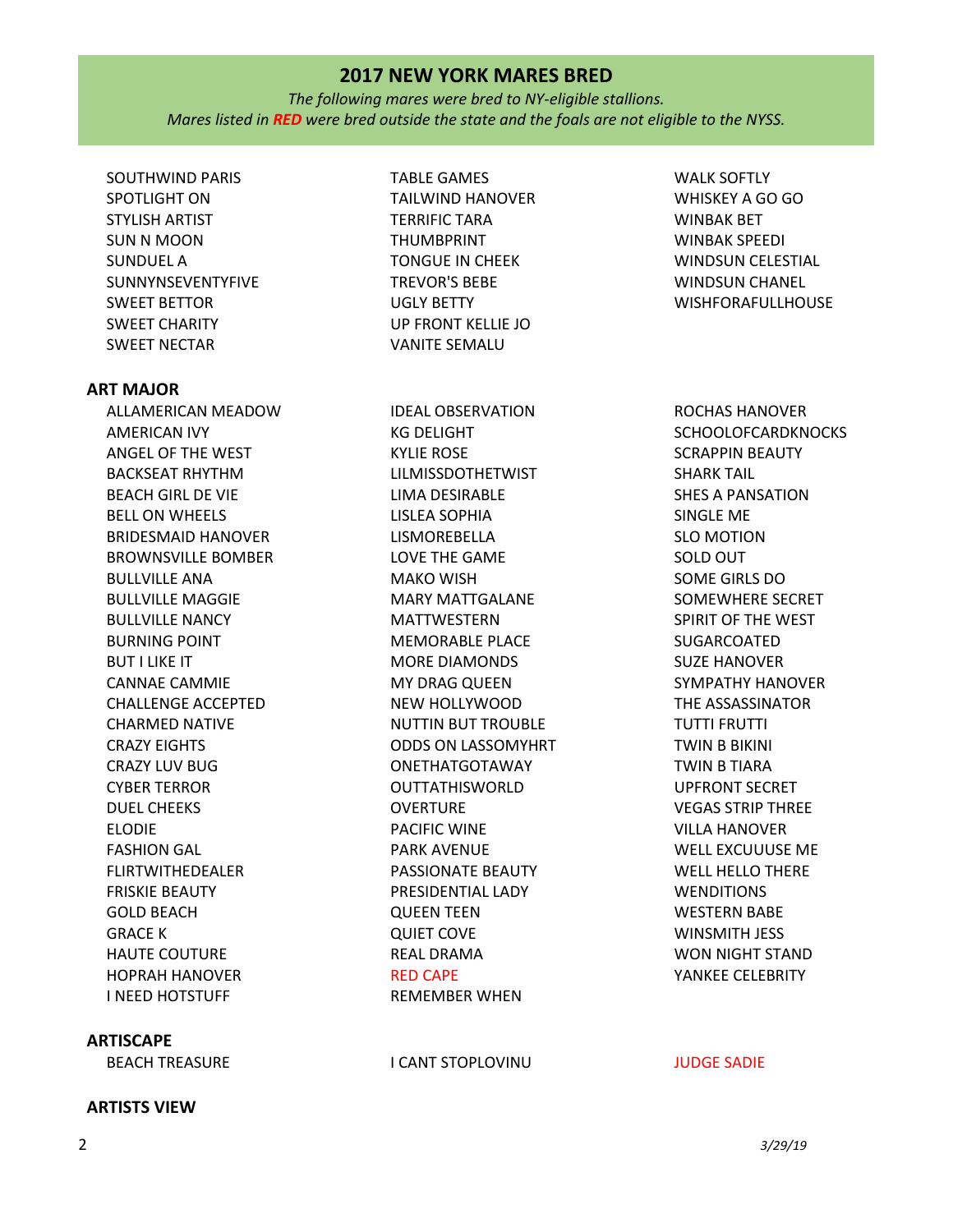*The following mares were bred to NY-eligible stallions. Mares listed in RED were bred outside the state and the foals are not eligible to the NYSS.*

SOUTHWIND PARIS SPOTLIGHT ON STYLISH ARTIST SUN N MOON SUNDUEL A SUNNYNSEVENTYFIVE SWEET BETTOR SWEET CHARITY SWEET NECTAR

### **ART MAJOR**

ALLAMERICAN MEADOW AMERICAN IVY ANGEL OF THE WEST BACKSEAT RHYTHM BEACH GIRL DE VIE BELL ON WHEELS BRIDESMAID HANOVER BROWNSVILLE BOMBER BULLVILLE ANA BULLVILLE MAGGIE BULLVILLE NANCY BURNING POINT BUT I LIKE IT CANNAE CAMMIE CHALLENGE ACCEPTED CHARMED NATIVE CRAZY EIGHTS CRAZY LUV BUG CYBER TERROR DUEL CHEEKS ELODIE FASHION GAL FLIRTWITHEDEALER FRISKIE BEAUTY GOLD BEACH GRACE K HAUTE COUTURE HOPRAH HANOVER I NEED HOTSTUFF

## **ARTISCAPE**

## BEACH TREASURE THE INTERNATION OF THE INTERNATIONAL INTERNATIONAL INTERNATIONAL INTERNATIONAL INTERNATIONAL IN

TABLE GAMES TAILWIND HANOVER TERRIFIC TARA THUMBPRINT TONGUE IN CHEEK TREVOR'S BEBE UGLY BETTY UP FRONT KELLIE JO VANITE SEMALU

IDEAL OBSERVATION KG DELIGHT KYLIE ROSE LILMISSDOTHETWIST LIMA DESIRABLE LISLEA SOPHIA LISMOREBELLA LOVE THE GAME MAKO WISH MARY MATTGALANE MATTWESTERN MEMORABLE PLACE MORE DIAMONDS MY DRAG QUEEN NEW HOLLYWOOD NUTTIN BUT TROUBLE ODDS ON LASSOMYHRT ONETHATGOTAWAY OUTTATHISWORLD OVERTURE PACIFIC WINE PARK AVENUE PASSIONATE BEAUTY PRESIDENTIAL LADY QUEEN TEEN QUIET COVE REAL DRAMA RED CAPE REMEMBER WHEN

WALK SOFTLY WHISKEY A GO GO WINBAK BET WINBAK SPEEDI WINDSUN CELESTIAL WINDSUN CHANEL WISHFORAFULLHOUSE

ROCHAS HANOVER **SCHOOLOFCARDKNOCKS** SCRAPPIN BEAUTY SHARK TAIL SHES A PANSATION SINGLE ME SLO MOTION SOLD OUT SOME GIRLS DO SOMEWHERE SECRET SPIRIT OF THE WEST SUGARCOATED SUZE HANOVER SYMPATHY HANOVER THE ASSASSINATOR TUTTI FRUTTI TWIN B BIKINI TWIN B TIARA UPFRONT SECRET VEGAS STRIP THREE VILLA HANOVER WELL EXCUUUSE ME WELL HELLO THERE **WENDITIONS** WESTERN BABE WINSMITH JESS WON NIGHT STAND YANKEE CELEBRITY

# **ARTISTS VIEW**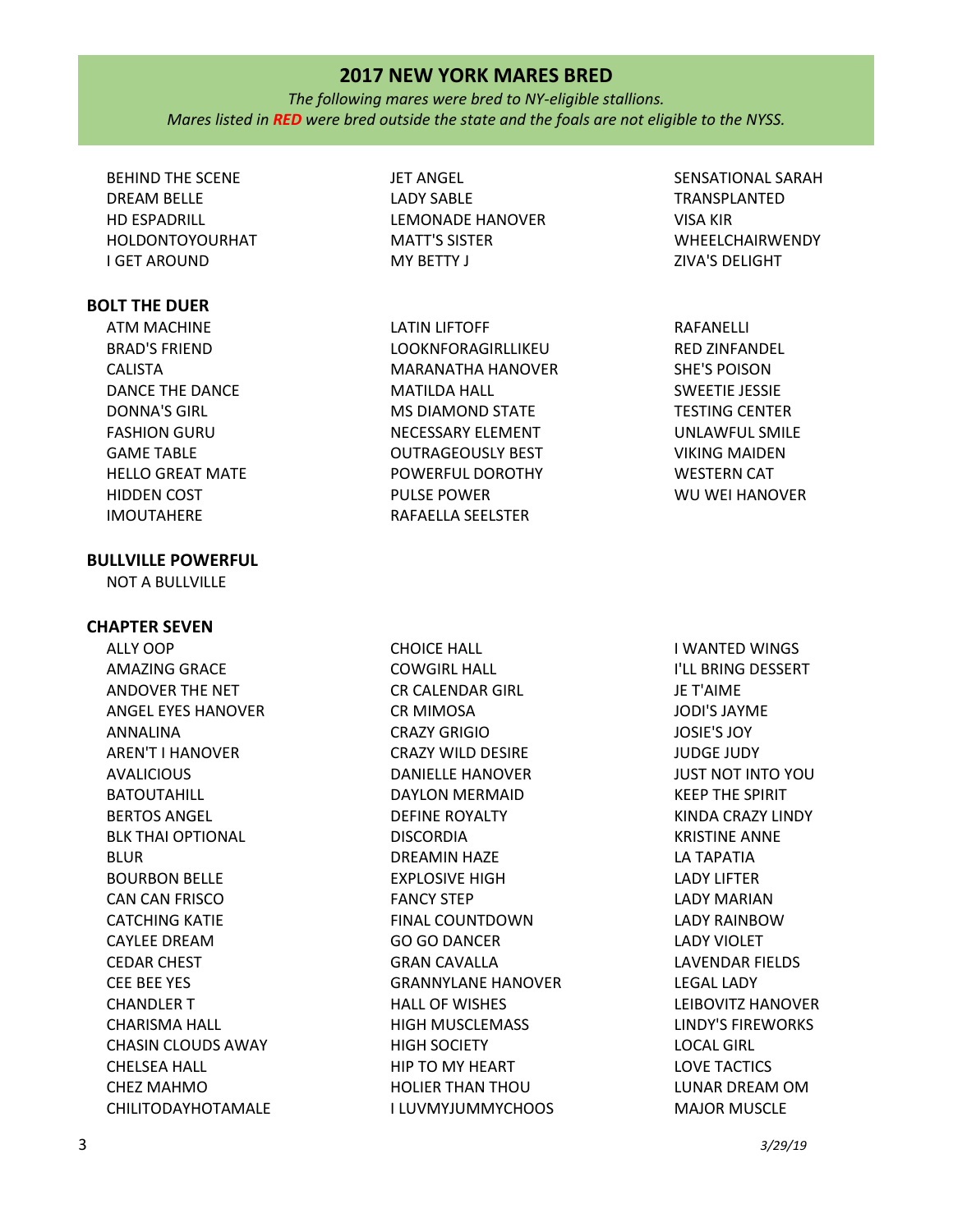*The following mares were bred to NY-eligible stallions. Mares listed in RED were bred outside the state and the foals are not eligible to the NYSS.*

BEHIND THE SCENE DREAM BELLE HD ESPADRILL HOLDONTOYOURHAT I GET AROUND

# **BOLT THE DUER**

ATM MACHINE BRAD'S FRIEND CALISTA DANCE THE DANCE DONNA'S GIRL FASHION GURU GAME TABLE HELLO GREAT MATE HIDDEN COST IMOUTAHERE

## **BULLVILLE POWERFUL**

NOT A BULLVILLE

## **CHAPTER SEVEN**

ALLY OOP AMAZING GRACE ANDOVER THE NET ANGEL EYES HANOVER ANNALINA AREN'T I HANOVER AVALICIOUS BATOUTAHILL BERTOS ANGEL BLK THAI OPTIONAL BLUR BOURBON BELLE CAN CAN FRISCO CATCHING KATIE CAYLEE DREAM CEDAR CHEST CEE BEE YES CHANDLER T CHARISMA HALL CHASIN CLOUDS AWAY CHELSEA HALL CHEZ MAHMO CHILITODAYHOTAMALE JET ANGEL LADY SABLE LEMONADE HANOVER MATT'S SISTER MY BETTY J

LATIN LIFTOFF LOOKNFORAGIRLLIKEU MARANATHA HANOVER MATILDA HALL MS DIAMOND STATE NECESSARY ELEMENT OUTRAGEOUSLY BEST POWERFUL DOROTHY PULSE POWER RAFAELLA SEELSTER

SENSATIONAL SARAH TRANSPLANTED VISA KIR WHEELCHAIRWENDY ZIVA'S DELIGHT

RAFANELLI RED ZINFANDEL SHE'S POISON SWEETIE JESSIE TESTING CENTER UNLAWFUL SMILE VIKING MAIDEN WESTERN CAT WU WEI HANOVER

CHOICE HALL COWGIRL HALL CR CALENDAR GIRL CR MIMOSA CRAZY GRIGIO CRAZY WILD DESIRE DANIELLE HANOVER DAYLON MERMAID DEFINE ROYALTY **DISCORDIA** DREAMIN HAZE EXPLOSIVE HIGH FANCY STEP FINAL COUNTDOWN GO GO DANCER GRAN CAVALLA GRANNYLANE HANOVER HALL OF WISHES HIGH MUSCLEMASS HIGH SOCIETY HIP TO MY HEART HOLIER THAN THOU I LUVMYJUMMYCHOOS

I WANTED WINGS I'LL BRING DESSERT JE T'AIME JODI'S JAYME JOSIE'S JOY JUDGE JUDY JUST NOT INTO YOU KEEP THE SPIRIT KINDA CRAZY LINDY KRISTINE ANNE LA TAPATIA LADY LIFTER LADY MARIAN LADY RAINBOW LADY VIOLET LAVENDAR FIELDS LEGAL LADY LEIBOVITZ HANOVER LINDY'S FIREWORKS LOCAL GIRL LOVE TACTICS LUNAR DREAM OM MAJOR MUSCLE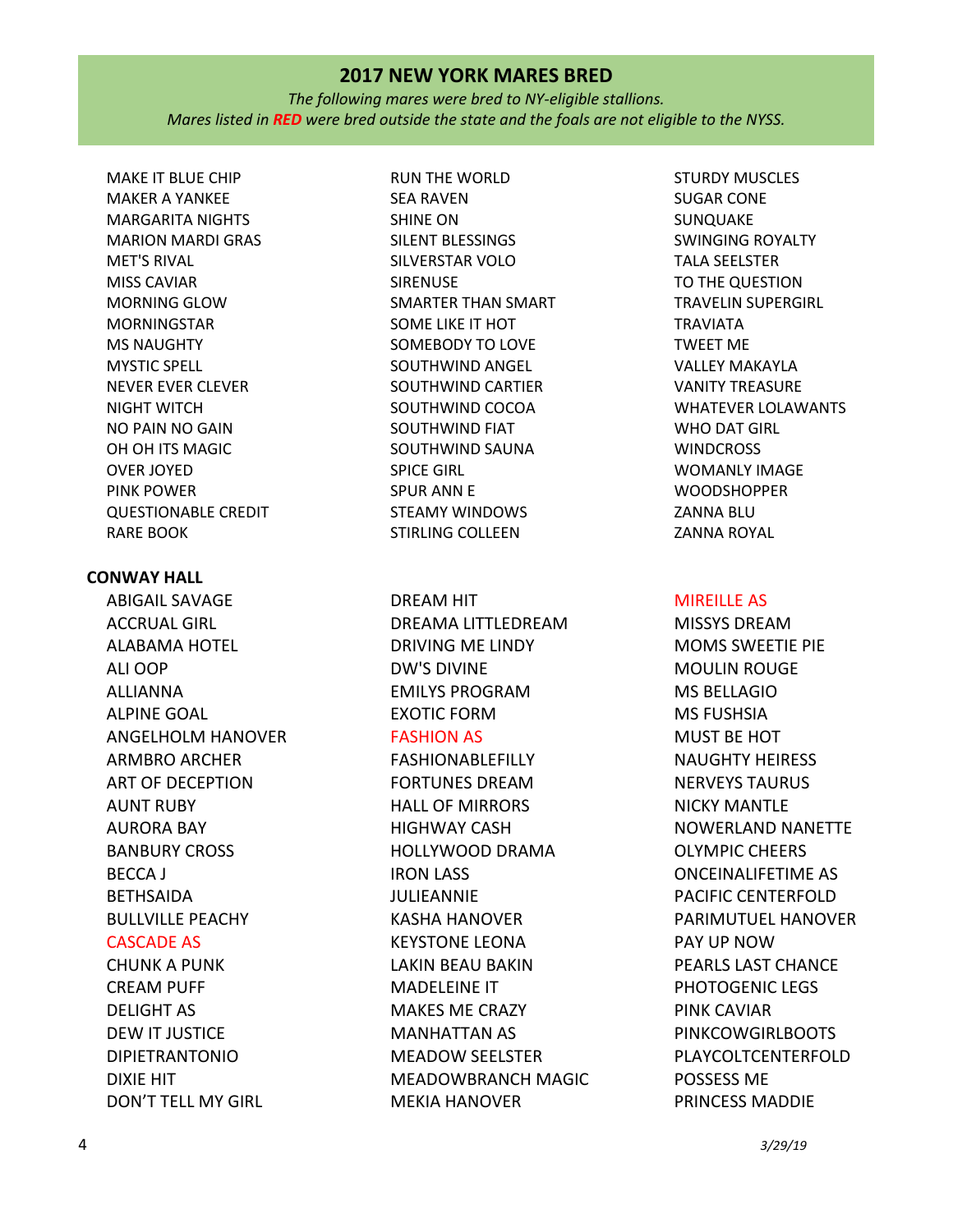*The following mares were bred to NY-eligible stallions. Mares listed in RED were bred outside the state and the foals are not eligible to the NYSS.*

MAKE IT BLUE CHIP MAKER A YANKEE MARGARITA NIGHTS MARION MARDI GRAS MET'S RIVAL MISS CAVIAR MORNING GLOW MORNINGSTAR MS NAUGHTY MYSTIC SPELL NEVER EVER CLEVER NIGHT WITCH NO PAIN NO GAIN OH OH ITS MAGIC OVER JOYED PINK POWER QUESTIONABLE CREDIT RARE BOOK

# **CONWAY HALL**

ABIGAIL SAVAGE ACCRUAL GIRL ALABAMA HOTEL ALI OOP ALLIANNA ALPINE GOAL ANGELHOLM HANOVER ARMBRO ARCHER ART OF DECEPTION AUNT RUBY AURORA BAY BANBURY CROSS BECCA J BETHSAIDA BULLVILLE PEACHY CASCADE AS

CHUNK A PUNK CREAM PUFF DELIGHT AS DEW IT JUSTICE DIPIETRANTONIO DIXIE HIT DON'T TELL MY GIRL RUN THE WORLD SEA RAVEN SHINE ON SILENT BLESSINGS SILVERSTAR VOLO SIRENUSE SMARTER THAN SMART SOME LIKE IT HOT SOMEBODY TO LOVE SOUTHWIND ANGEL SOUTHWIND CARTIER SOUTHWIND COCOA SOUTHWIND FIAT SOUTHWIND SAUNA SPICE GIRL SPUR ANN E STEAMY WINDOWS STIRLING COLLEEN

DREAM HIT DREAMA LITTLEDREAM DRIVING ME LINDY DW'S DIVINE EMILYS PROGRAM EXOTIC FORM

# FASHION AS

FASHIONABLEFILLY FORTUNES DREAM HALL OF MIRRORS HIGHWAY CASH HOLLYWOOD DRAMA IRON LASS JULIEANNIE KASHA HANOVER KEYSTONE LEONA LAKIN BEAU BAKIN MADELEINE IT MAKES ME CRAZY MANHATTAN AS MEADOW SEELSTER MEADOWBRANCH MAGIC MEKIA HANOVER

STURDY MUSCLES SUGAR CONE SUNQUAKE SWINGING ROYALTY TALA SEELSTER TO THE QUESTION TRAVELIN SUPERGIRL TRAVIATA TWEET ME VALLEY MAKAYLA VANITY TREASURE WHATEVER LOLAWANTS WHO DAT GIRL **WINDCROSS** WOMANLY IMAGE **WOODSHOPPER** ZANNA BLU ZANNA ROYAL

# MIREILLE AS

MISSYS DREAM MOMS SWEETIE PIE MOULIN ROUGE MS BELLAGIO MS FUSHSIA MUST BE HOT NAUGHTY HEIRESS NERVEYS TAURUS NICKY MANTLE NOWERLAND NANETTE OLYMPIC CHEERS ONCEINALIFETIME AS PACIFIC CENTERFOLD PARIMUTUEL HANOVER PAY UP NOW PEARLS LAST CHANCE PHOTOGENIC LEGS PINK CAVIAR PINKCOWGIRLBOOTS PLAYCOLTCENTERFOLD POSSESS ME PRINCESS MADDIE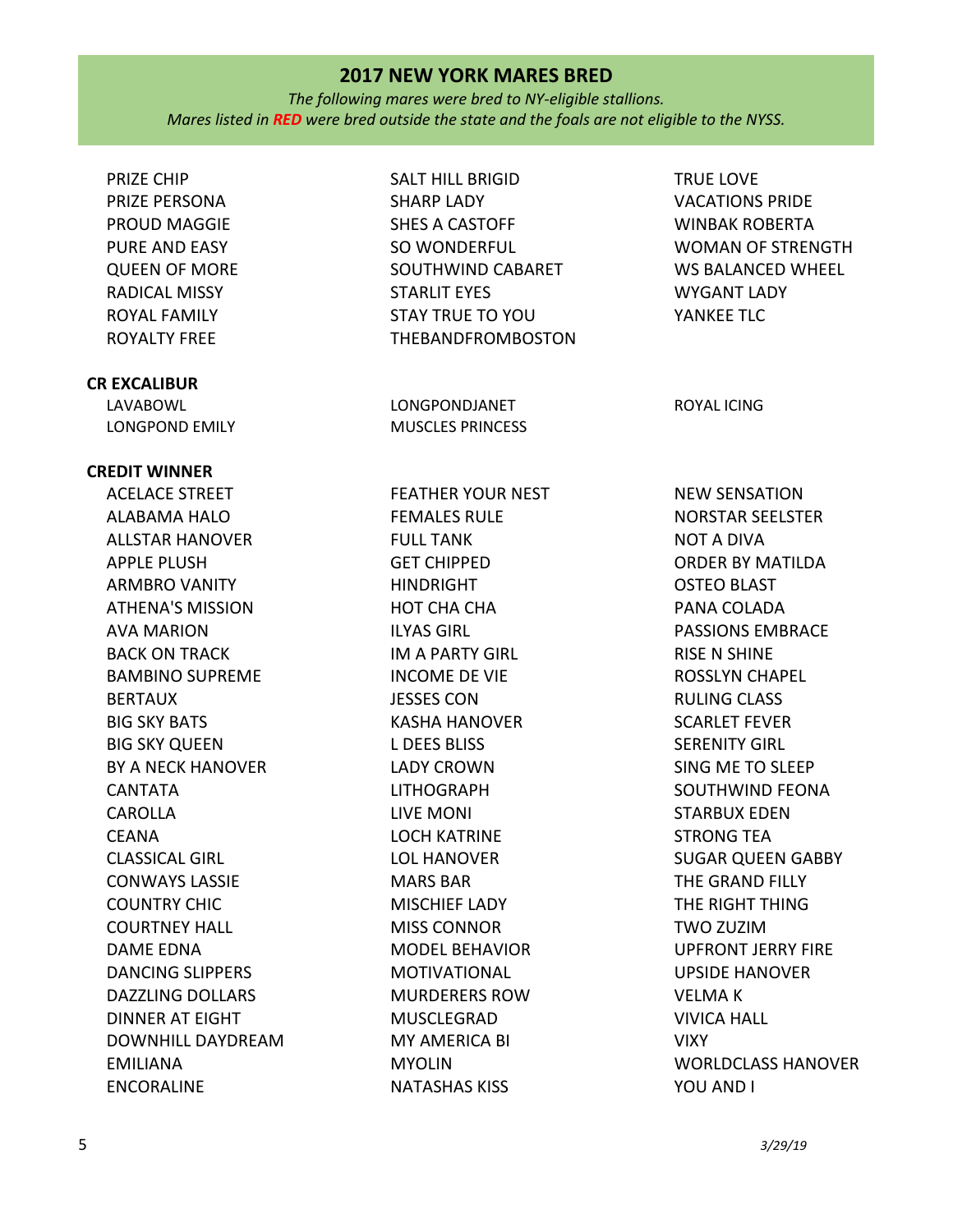*The following mares were bred to NY-eligible stallions. Mares listed in RED were bred outside the state and the foals are not eligible to the NYSS.*

PRIZE CHIP PRIZE PERSONA PROUD MAGGIE PURE AND EASY QUEEN OF MORE RADICAL MISSY ROYAL FAMILY ROYALTY FREE

# **CR EXCALIBUR**

LAVABOWL LONGPOND EMILY

# **CREDIT WINNER**

ACELACE STREET ALABAMA HALO ALLSTAR HANOVER APPLE PLUSH ARMBRO VANITY ATHENA'S MISSION AVA MARION BACK ON TRACK BAMBINO SUPREME **BERTAUX** BIG SKY BATS BIG SKY QUEEN BY A NECK HANOVER CANTATA CAROLLA CEANA CLASSICAL GIRL CONWAYS LASSIE COUNTRY CHIC COURTNEY HALL DAME EDNA DANCING SLIPPERS DAZZLING DOLLARS DINNER AT EIGHT DOWNHILL DAYDREAM EMILIANA ENCORALINE

SALT HILL BRIGID SHARP LADY SHES A CASTOFF SO WONDERFUL SOUTHWIND CABARET STARLIT EYES STAY TRUE TO YOU THEBANDFROMBOSTON

LONGPONDJANET MUSCLES PRINCESS

FEATHER YOUR NEST FEMALES RULE FULL TANK GET CHIPPED HINDRIGHT HOT CHA CHA ILYAS GIRL IM A PARTY GIRL INCOME DE VIE JESSES CON KASHA HANOVER L DEES BLISS LADY CROWN LITHOGRAPH LIVE MONI LOCH KATRINE LOL HANOVER MARS BAR MISCHIEF LADY MISS CONNOR MODEL BEHAVIOR MOTIVATIONAL MURDERERS ROW MUSCLEGRAD MY AMERICA BI MYOLIN NATASHAS KISS

TRUE LOVE VACATIONS PRIDE WINBAK ROBERTA WOMAN OF STRENGTH WS BALANCED WHEEL WYGANT LADY YANKEE TLC

ROYAL ICING

NEW SENSATION NORSTAR SEELSTER NOT A DIVA ORDER BY MATILDA OSTEO BLAST PANA COLADA PASSIONS EMBRACE RISE N SHINE ROSSLYN CHAPEL RULING CLASS SCARLET FEVER SERENITY GIRL SING ME TO SLEEP SOUTHWIND FEONA STARBUX EDEN STRONG TEA SUGAR QUEEN GABBY THE GRAND FILLY THE RIGHT THING TWO ZUZIM UPFRONT JERRY FIRE UPSIDE HANOVER VELMA K VIVICA HALL VIXY WORLDCLASS HANOVER YOU AND I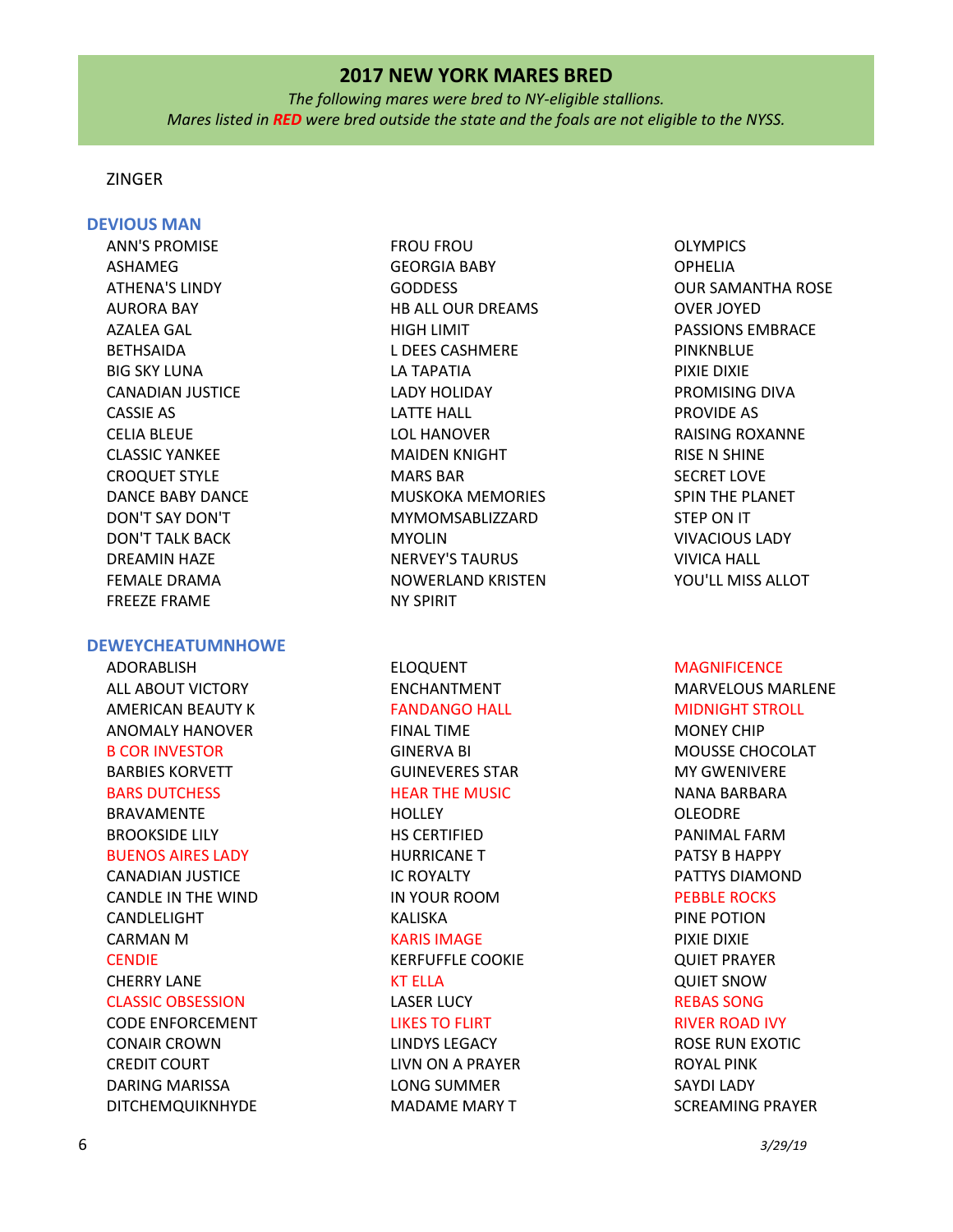*The following mares were bred to NY-eligible stallions. Mares listed in RED were bred outside the state and the foals are not eligible to the NYSS.*

# ZINGER

## **DEVIOUS MAN**

ANN'S PROMISE ASHAMEG ATHENA'S LINDY AURORA BAY AZALEA GAL BETHSAIDA BIG SKY LUNA CANADIAN JUSTICE CASSIE AS CELIA BLEUE CLASSIC YANKEE CROQUET STYLE DANCE BABY DANCE DON'T SAY DON'T DON'T TALK BACK DREAMIN HAZE FEMALE DRAMA FREEZE FRAME

#### **DEWEYCHEATUMNHOWE**

ADORABLISH ALL ABOUT VICTORY AMERICAN BEAUTY K ANOMALY HANOVER B COR INVESTOR BARBIES KORVETT BARS DUTCHESS BRAVAMENTE BROOKSIDE LILY BUENOS AIRES LADY CANADIAN JUSTICE CANDLE IN THE WIND CANDLELIGHT CARMAN M **CENDIE** CHERRY LANE CLASSIC OBSESSION CODE ENFORCEMENT CONAIR CROWN CREDIT COURT DARING MARISSA

DITCHEMQUIKNHYDE

FROU FROU GEORGIA BABY GODDESS HB ALL OUR DREAMS HIGH LIMIT L DEES CASHMERE LA TAPATIA LADY HOLIDAY LATTE HALL LOL HANOVER MAIDEN KNIGHT MARS BAR MUSKOKA MEMORIES MYMOMSABLIZZARD MYOLIN NERVEY'S TAURUS NOWERLAND KRISTEN NY SPIRIT

ELOQUENT ENCHANTMENT FANDANGO HALL FINAL TIME GINERVA BI GUINEVERES STAR HEAR THE MUSIC **HOLLEY** HS CERTIFIED HURRICANE T IC ROYALTY IN YOUR ROOM KALISKA KARIS IMAGE KERFUFFLE COOKIE KT ELLA LASER LUCY LIKES TO FLIRT LINDYS LEGACY LIVN ON A PRAYER LONG SUMMER MADAME MARY T

OLYMPICS OPHELIA OUR SAMANTHA ROSE OVER JOYED PASSIONS EMBRACE PINKNBLUE PIXIE DIXIE PROMISING DIVA PROVIDE AS RAISING ROXANNE RISE N SHINE SECRET LOVE SPIN THE PLANET STEP ON IT VIVACIOUS LADY VIVICA HALL YOU'LL MISS ALLOT

#### **MAGNIFICENCE**

MARVELOUS MARLENE MIDNIGHT STROLL MONEY CHIP MOUSSE CHOCOLAT MY GWENIVERE NANA BARBARA OLEODRE PANIMAL FARM PATSY B HAPPY PATTYS DIAMOND PEBBLE ROCKS PINE POTION PIXIE DIXIE QUIET PRAYER QUIET SNOW REBAS SONG RIVER ROAD IVY ROSE RUN EXOTIC ROYAL PINK SAYDI LADY SCREAMING PRAYER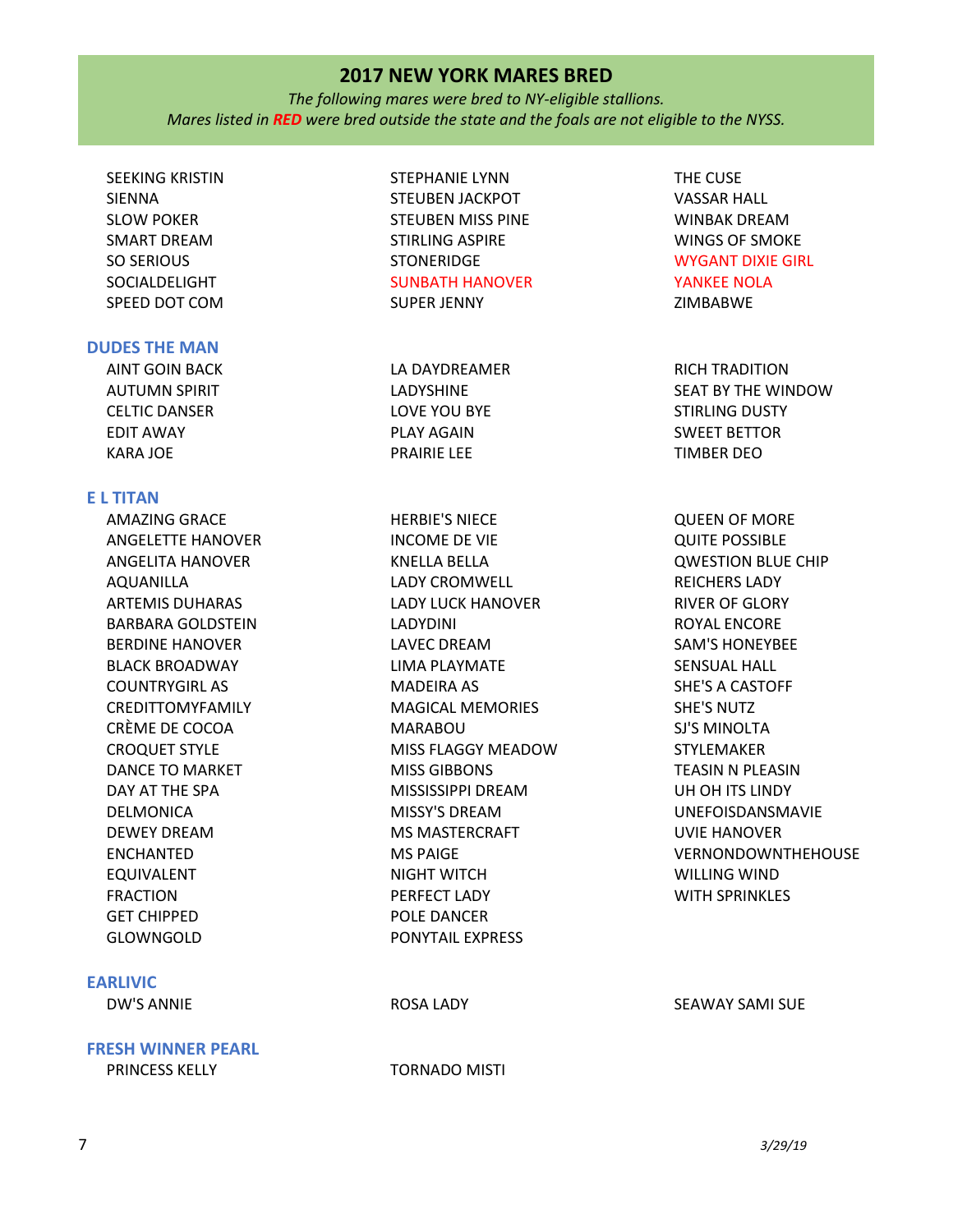*The following mares were bred to NY-eligible stallions. Mares listed in RED were bred outside the state and the foals are not eligible to the NYSS.*

# SEEKING KRISTIN SIENNA SLOW POKER SMART DREAM SO SERIOUS SOCIALDELIGHT SPEED DOT COM

## **DUDES THE MAN**

AINT GOIN BACK AUTUMN SPIRIT CELTIC DANSER EDIT AWAY KARA JOE

## **E L TITAN**

AMAZING GRACE ANGELETTE HANOVER ANGELITA HANOVER AQUANILLA ARTEMIS DUHARAS BARBARA GOLDSTEIN BERDINE HANOVER BLACK BROADWAY COUNTRYGIRL AS CREDITTOMYFAMILY CRÈME DE COCOA CROQUET STYLE DANCE TO MARKET DAY AT THE SPA DELMONICA DEWEY DREAM ENCHANTED EQUIVALENT FRACTION GET CHIPPED GLOWNGOLD

## **EARLIVIC**

DW'S ANNIE ROSA LADY SEAWAY SAMI SUE

**FRESH WINNER PEARL**

STEPHANIE LYNN STEUBEN JACKPOT STEUBEN MISS PINE STIRLING ASPIRE **STONERIDGE** SUNBATH HANOVER SUPER JENNY

LA DAYDREAMER LADYSHINE LOVE YOU BYE PLAY AGAIN PRAIRIE LEE

HERBIE'S NIECE INCOME DE VIE KNELLA BELLA LADY CROMWELL LADY LUCK HANOVER LADYDINI LAVEC DREAM LIMA PLAYMATE MADEIRA AS MAGICAL MEMORIES MARABOU MISS FLAGGY MEADOW MISS GIBBONS MISSISSIPPI DREAM MISSY'S DREAM MS MASTERCRAFT MS PAIGE NIGHT WITCH PERFECT LADY POLE DANCER PONYTAIL EXPRESS

THE CUSE VASSAR HALL WINBAK DREAM WINGS OF SMOKE WYGANT DIXIE GIRL YANKEE NOLA ZIMBABWE

RICH TRADITION SEAT BY THE WINDOW STIRLING DUSTY SWEET BETTOR TIMBER DEO

QUEEN OF MORE QUITE POSSIBLE QWESTION BLUE CHIP REICHERS LADY RIVER OF GLORY ROYAL ENCORE SAM'S HONEYBEE SENSUAL HALL SHE'S A CASTOFF SHE'S NUTZ SJ'S MINOLTA STYLEMAKER TEASIN N PLEASIN UH OH ITS LINDY UNEFOISDANSMAVIE UVIE HANOVER VERNONDOWNTHEHOUSE WILLING WIND WITH SPRINKLES

PRINCESS KELLY TORNADO MISTI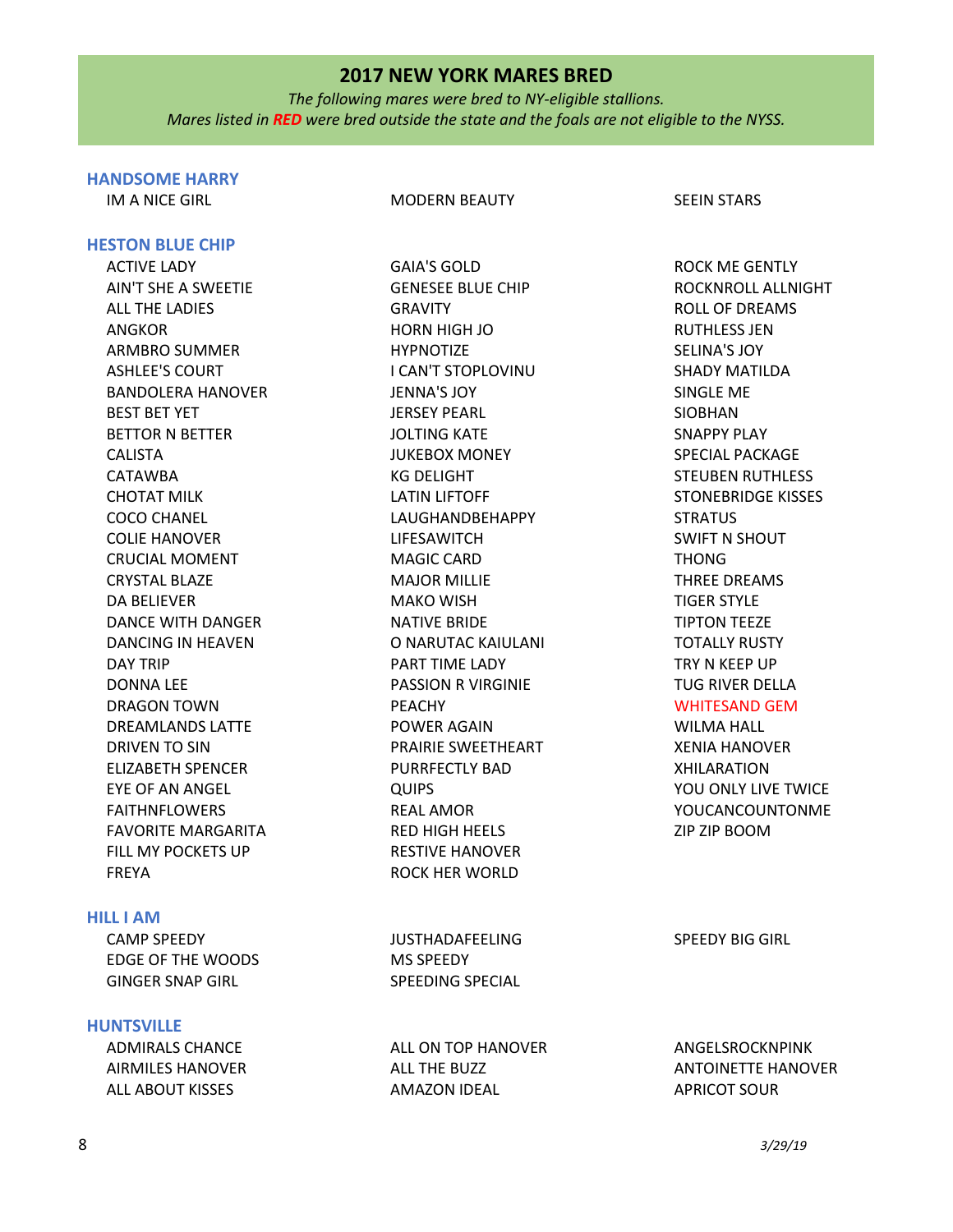*The following mares were bred to NY-eligible stallions. Mares listed in RED were bred outside the state and the foals are not eligible to the NYSS.*

# **HANDSOME HARRY**

**HESTON BLUE CHIP**

#### IM A NICE GIRL GIRL GIRL MODERN BEAUTY SEEIN STARS

ROCK ME GENTLY

ACTIVE LADY AIN'T SHE A SWEETIE ALL THE LADIES ANGKOR ARMBRO SUMMER ASHLEE'S COURT BANDOLERA HANOVER BEST BET YET BETTOR N BETTER CALISTA CATAWBA CHOTAT MILK COCO CHANEL COLIE HANOVER CRUCIAL MOMENT CRYSTAL BLAZE DA BELIEVER DANCE WITH DANGER DANCING IN HEAVEN DAY TRIP DONNA LEE DRAGON TOWN DREAMLANDS LATTE DRIVEN TO SIN ELIZABETH SPENCER EYE OF AN ANGEL FAITHNFLOWERS FAVORITE MARGARITA FILL MY POCKETS UP FREYA

# **HILL I AM**

| CAMP SPEEDY             | JUSTHADAFEELING  | SPEEDY BIG GIR |
|-------------------------|------------------|----------------|
| EDGE OF THE WOODS       | <b>MS SPEEDY</b> |                |
| <b>GINGER SNAP GIRL</b> | SPEEDING SPECIAL |                |

### **HUNTSVILLE**

| ADMIRALS CHANCE  | ALL ON TOP HANOVER | ANGE         |
|------------------|--------------------|--------------|
| AIRMILES HANOVER | ALL THE BUZZ       | ANTC         |
| ALL ABOUT KISSES | AMAZON IDEAL       | <b>APRIC</b> |

GAIA'S GOLD GENESEE BLUE CHIP GRAVITY HORN HIGH JO **HYPNOTIZE** I CAN'T STOPLOVINU JENNA'S JOY JERSEY PEARL JOLTING KATE JUKEBOX MONEY KG DELIGHT LATIN LIFTOFF LAUGHANDBEHAPPY LIFESAWITCH MAGIC CARD MAJOR MILLIE MAKO WISH NATIVE BRIDE O NARUTAC KAIULANI PART TIME LADY PASSION R VIRGINIE PEACHY POWER AGAIN PRAIRIE SWEETHEART PURRFECTLY BAD QUIPS REAL AMOR RED HIGH HEELS RESTIVE HANOVER ROCK HER WORLD

ROCKNROLL ALLNIGHT ROLL OF DREAMS RUTHLESS **IFN** SELINA'S JOY SHADY MATILDA SINGLE ME SIOBHAN SNAPPY PLAY SPECIAL PACKAGE STEUBEN RUTHLESS STONEBRIDGE KISSES **STRATUS** SWIFT N SHOUT THONG THREE DREAMS TIGER STYLE TIPTON TEEZE TOTALLY RUSTY TRY N KEEP UP TUG RIVER DELLA WHITESAND GEM WILMA HALL XENIA HANOVER XHILARATION YOU ONLY LIVE TWICE YOUCANCOUNTONME ZIP ZIP BOOM

SPEEDY BIG GIRL

**LSROCKNPINK NINETTE HANOVER** COT SOUR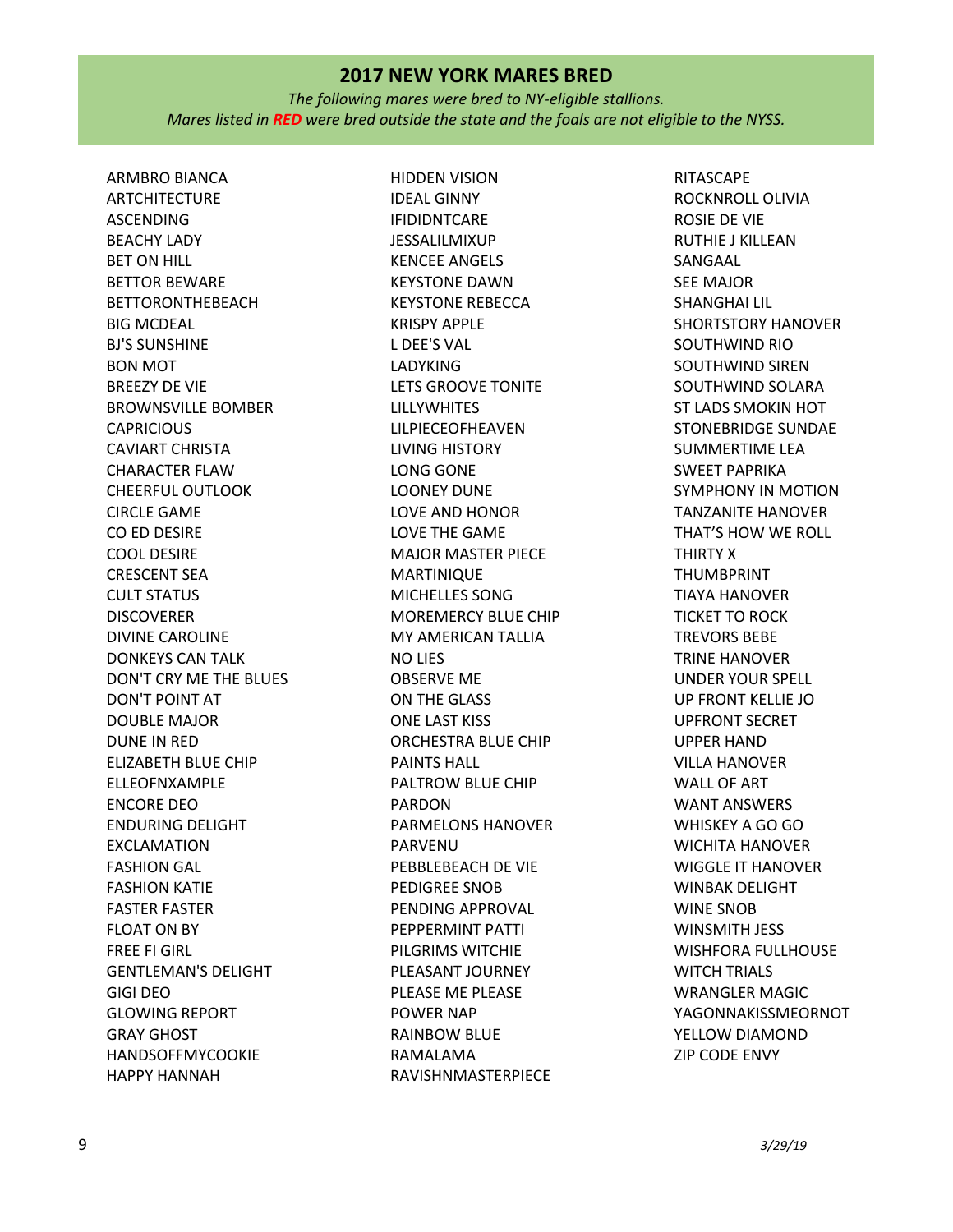*The following mares were bred to NY-eligible stallions. Mares listed in RED were bred outside the state and the foals are not eligible to the NYSS.*

ARMBRO BIANCA ARTCHITECTURE ASCENDING BEACHY LADY BET ON HILL BETTOR BEWARE BETTORONTHEBEACH BIG MCDEAL BJ'S SUNSHINE BON MOT BREEZY DE VIE BROWNSVILLE BOMBER **CAPRICIOUS** CAVIART CHRISTA CHARACTER FLAW CHEERFUL OUTLOOK CIRCLE GAME CO ED DESIRE COOL DESIRE CRESCENT SEA CULT STATUS DISCOVERER DIVINE CAROLINE DONKEYS CAN TALK DON'T CRY ME THE BLUES DON'T POINT AT DOUBLE MAJOR DUNE IN RED ELIZABETH BLUE CHIP ELLEOFNXAMPLE ENCORE DEO ENDURING DELIGHT EXCLAMATION FASHION GAL FASHION KATIE FASTER FASTER FLOAT ON BY FREE FI GIRL GENTLEMAN'S DELIGHT GIGI DEO GLOWING REPORT GRAY GHOST HANDSOFFMYCOOKIE HAPPY HANNAH

HIDDEN VISION IDEAL GINNY IFIDIDNTCARE JESSALILMIXUP KENCEE ANGELS KEYSTONE DAWN KEYSTONE REBECCA KRISPY APPLE L DEE'S VAL LADYKING LETS GROOVE TONITE LILLYWHITES LILPIECEOFHEAVEN LIVING HISTORY LONG GONE LOONEY DUNE LOVE AND HONOR LOVE THE GAME MAJOR MASTER PIECE MARTINIQUE MICHELLES SONG MOREMERCY BLUE CHIP MY AMERICAN TALLIA NO LIES OBSERVE ME ON THE GLASS ONE LAST KISS ORCHESTRA BLUE CHIP PAINTS HALL PALTROW BLUE CHIP PARDON PARMELONS HANOVER PARVENU PEBBLEBEACH DE VIE PEDIGREE SNOB PENDING APPROVAL PEPPERMINT PATTI PILGRIMS WITCHIE PLEASANT JOURNEY PLEASE ME PLEASE POWER NAP RAINBOW BLUE RAMALAMA RAVISHNMASTERPIECE

RITASCAPE ROCKNROLL OLIVIA ROSIE DE VIE RUTHIE J KILLEAN SANGAAL SEE MAJOR SHANGHAI LIL SHORTSTORY HANOVER SOUTHWIND RIO SOUTHWIND SIREN SOUTHWIND SOLARA ST LADS SMOKIN HOT STONEBRIDGE SUNDAE SUMMERTIME LEA SWEET PAPRIKA SYMPHONY IN MOTION TANZANITE HANOVER THAT'S HOW WE ROLL THIRTY X THUMBPRINT TIAYA HANOVER TICKET TO ROCK TREVORS BEBE TRINE HANOVER UNDER YOUR SPELL UP FRONT KELLIE JO UPFRONT SECRET UPPER HAND VILLA HANOVER WALL OF ART WANT ANSWERS WHISKEY A GO GO WICHITA HANOVER WIGGLE IT HANOVER WINBAK DELIGHT WINE SNOB WINSMITH JESS WISHFORA FULLHOUSE WITCH TRIALS WRANGLER MAGIC YAGONNAKISSMEORNOT YELLOW DIAMOND ZIP CODE ENVY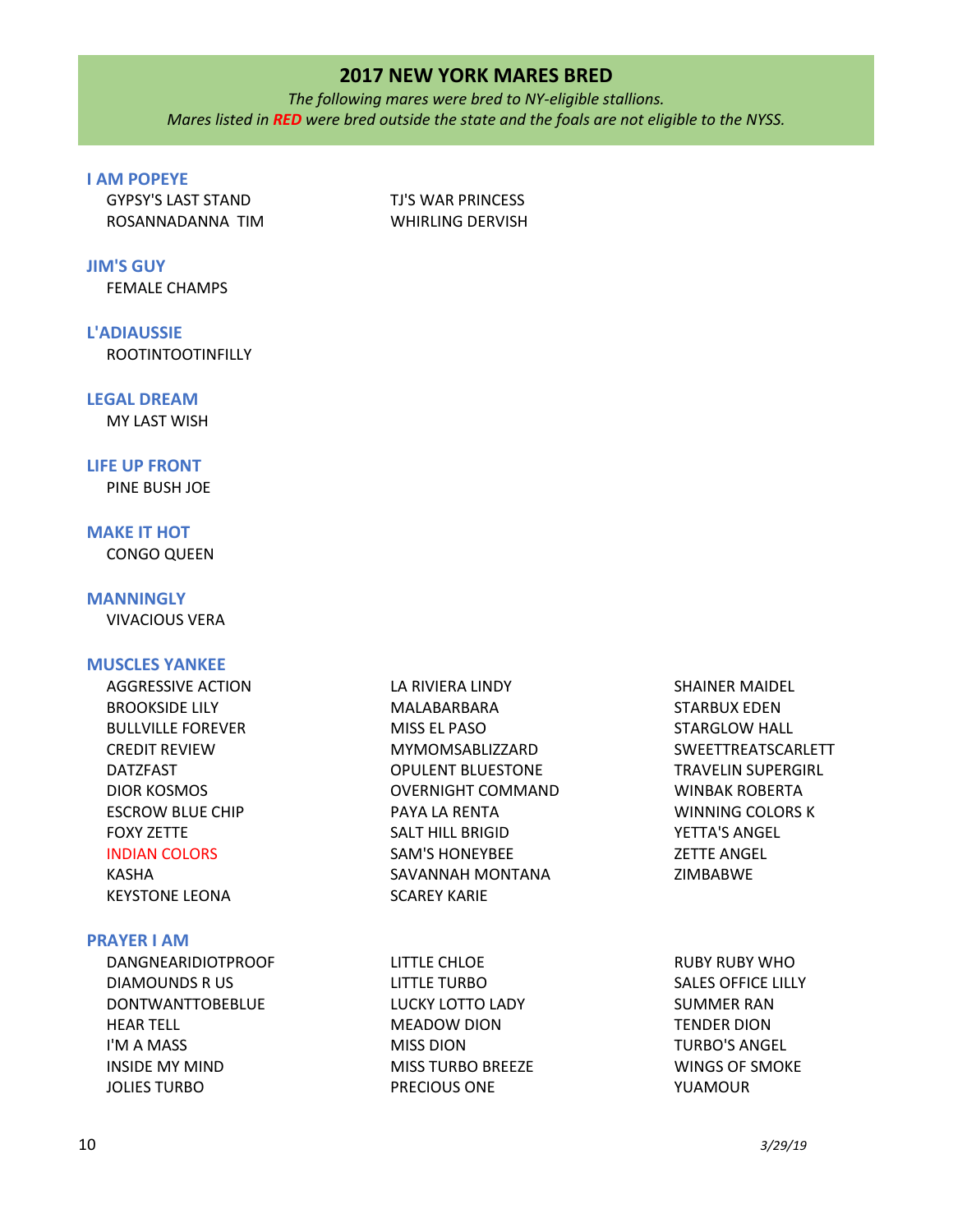*The following mares were bred to NY-eligible stallions. Mares listed in RED were bred outside the state and the foals are not eligible to the NYSS.*

# **I AM POPEYE**

GYPSY'S LAST STAND ROSANNADANNA TIM TJ'S WAR PRINCESS WHIRLING DERVISH

# **JIM'S GUY**

FEMALE CHAMPS

## **L'ADIAUSSIE**

ROOTINTOOTINFILLY

### **LEGAL DREAM**

MY LAST WISH

# **LIFE UP FRONT**

PINE BUSH JOE

# **MAKE IT HOT**

CONGO QUEEN

# **MANNINGLY**

VIVACIOUS VERA

## **MUSCLES YANKEE**

AGGRESSIVE ACTION BROOKSIDE LILY BULLVILLE FOREVER CREDIT REVIEW DATZFAST DIOR KOSMOS ESCROW BLUE CHIP FOXY ZETTE INDIAN COLORS KASHA KEYSTONE LEONA LA RIVIERA LINDY MALABARBARA MISS EL PASO MYMOMSABLIZZARD OPULENT BLUESTONE OVERNIGHT COMMAND PAYA LA RENTA SALT HILL BRIGID SAM'S HONEYBEE SAVANNAH MONTANA SCAREY KARIE SHAINER MAIDEL STARBUX EDEN STARGLOW HALL WINBAK ROBERTA WINNING COLORS K YETTA'S ANGEL ZETTE ANGEL ZIMBABWE

#### **PRAYER I AM**

DANGNEARIDIOTPROOF DIAMOUNDS R US DONTWANTTOBEBLUE HEAR TELL I'M A MASS INSIDE MY MIND JOLIES TURBO

LITTLE CHLOE LITTLE TURBO LUCKY LOTTO LADY MEADOW DION MISS DION MISS TURBO BREEZE PRECIOUS ONE

SWEETTREATSCARLETT TRAVELIN SUPERGIRL

RUBY RUBY WHO SALES OFFICE LILLY SUMMER RAN TENDER DION TURBO'S ANGEL WINGS OF SMOKE YUAMOUR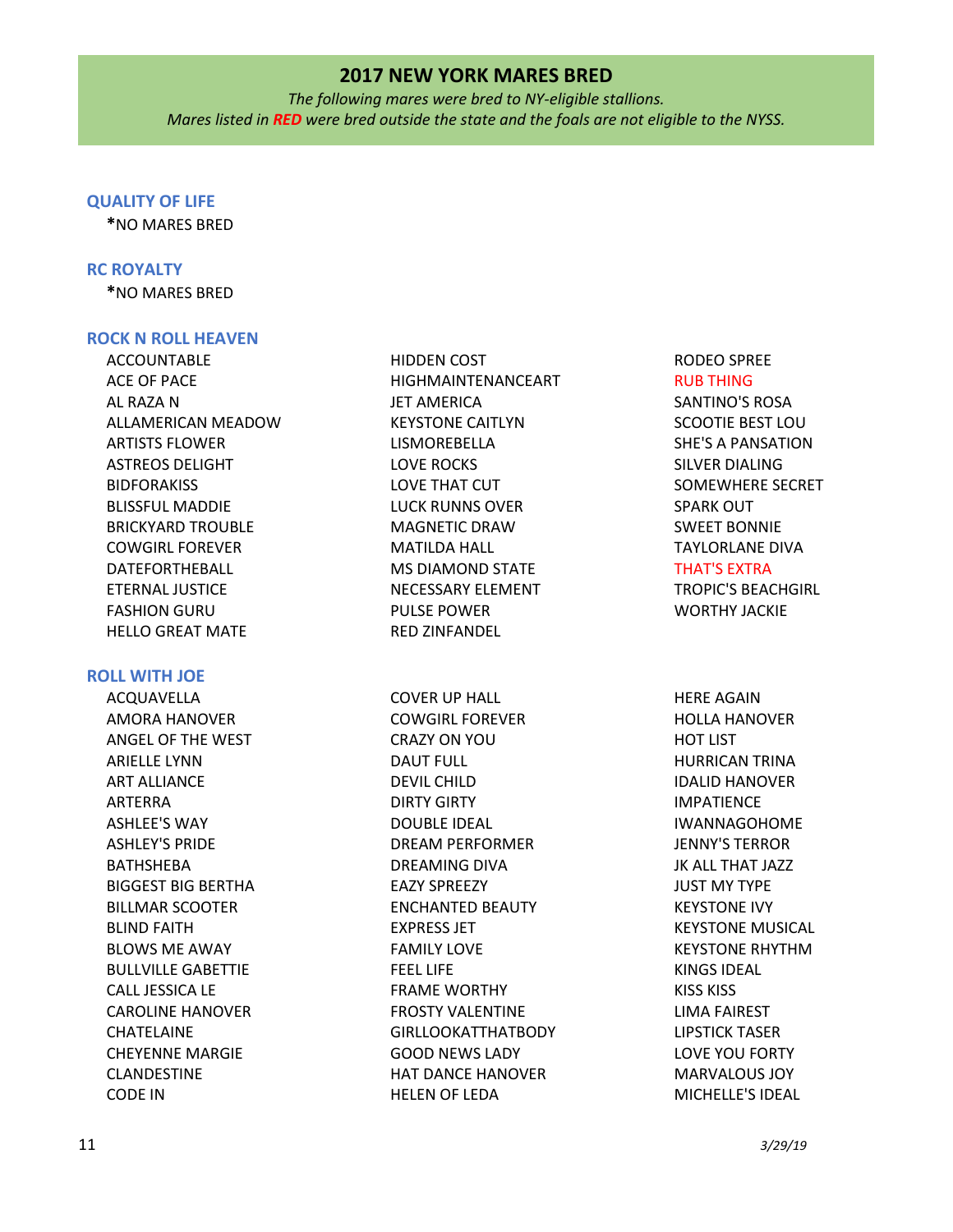*The following mares were bred to NY-eligible stallions. Mares listed in RED were bred outside the state and the foals are not eligible to the NYSS.*

### **QUALITY OF LIFE**

**\***NO MARES BRED

## **RC ROYALTY**

**\***NO MARES BRED

## **ROCK N ROLL HEAVEN**

ACCOUNTABLE ACE OF PACE AL RAZA N ALLAMERICAN MEADOW ARTISTS FLOWER ASTREOS DELIGHT BIDFORAKISS BLISSFUL MADDIE BRICKYARD TROUBLE COWGIRL FOREVER DATEFORTHEBALL ETERNAL JUSTICE FASHION GURU HELLO GREAT MATE

# **ROLL WITH JOE**

ACQUAVELLA AMORA HANOVER ANGEL OF THE WEST ARIELLE LYNN ART ALLIANCE ARTERRA ASHLEE'S WAY ASHLEY'S PRIDE BATHSHEBA BIGGEST BIG BERTHA BILLMAR SCOOTER BLIND FAITH BLOWS ME AWAY BULLVILLE GABETTIE CALL JESSICA LE CAROLINE HANOVER CHATELAINE CHEYENNE MARGIE CLANDESTINE CODE IN

HIDDEN COST HIGHMAINTENANCEART JET AMERICA KEYSTONE CAITLYN LISMOREBELLA LOVE ROCKS LOVE THAT CUT LUCK RUNNS OVER MAGNETIC DRAW MATILDA HALL MS DIAMOND STATE NECESSARY ELEMENT PULSE POWER RED ZINFANDEL

COVER UP HALL COWGIRL FOREVER CRAZY ON YOU DAUT FULL DEVIL CHILD DIRTY GIRTY DOUBLE IDEAL DREAM PERFORMER DREAMING DIVA EAZY SPREEZY ENCHANTED BEAUTY EXPRESS JET FAMILY LOVE FEEL LIFE FRAME WORTHY FROSTY VALENTINE GIRLLOOKATTHATBODY GOOD NEWS LADY HAT DANCE HANOVER HELEN OF LEDA

RODEO SPREE RUB THING SANTINO'S ROSA SCOOTIE BEST LOU SHE'S A PANSATION SILVER DIALING SOMEWHERE SECRET SPARK OUT SWEET BONNIE TAYLORLANE DIVA THAT'S EXTRA

TROPIC'S BEACHGIRL WORTHY JACKIE

HERE AGAIN HOLLA HANOVER HOT LIST HURRICAN TRINA IDALID HANOVER IMPATIENCE IWANNAGOHOME JENNY'S TERROR JK ALL THAT JAZZ JUST MY TYPE KEYSTONE IVY KEYSTONE MUSICAL KEYSTONE RHYTHM KINGS IDEAL KISS KISS LIMA FAIREST LIPSTICK TASER LOVE YOU FORTY MARVALOUS JOY MICHELLE'S IDEAL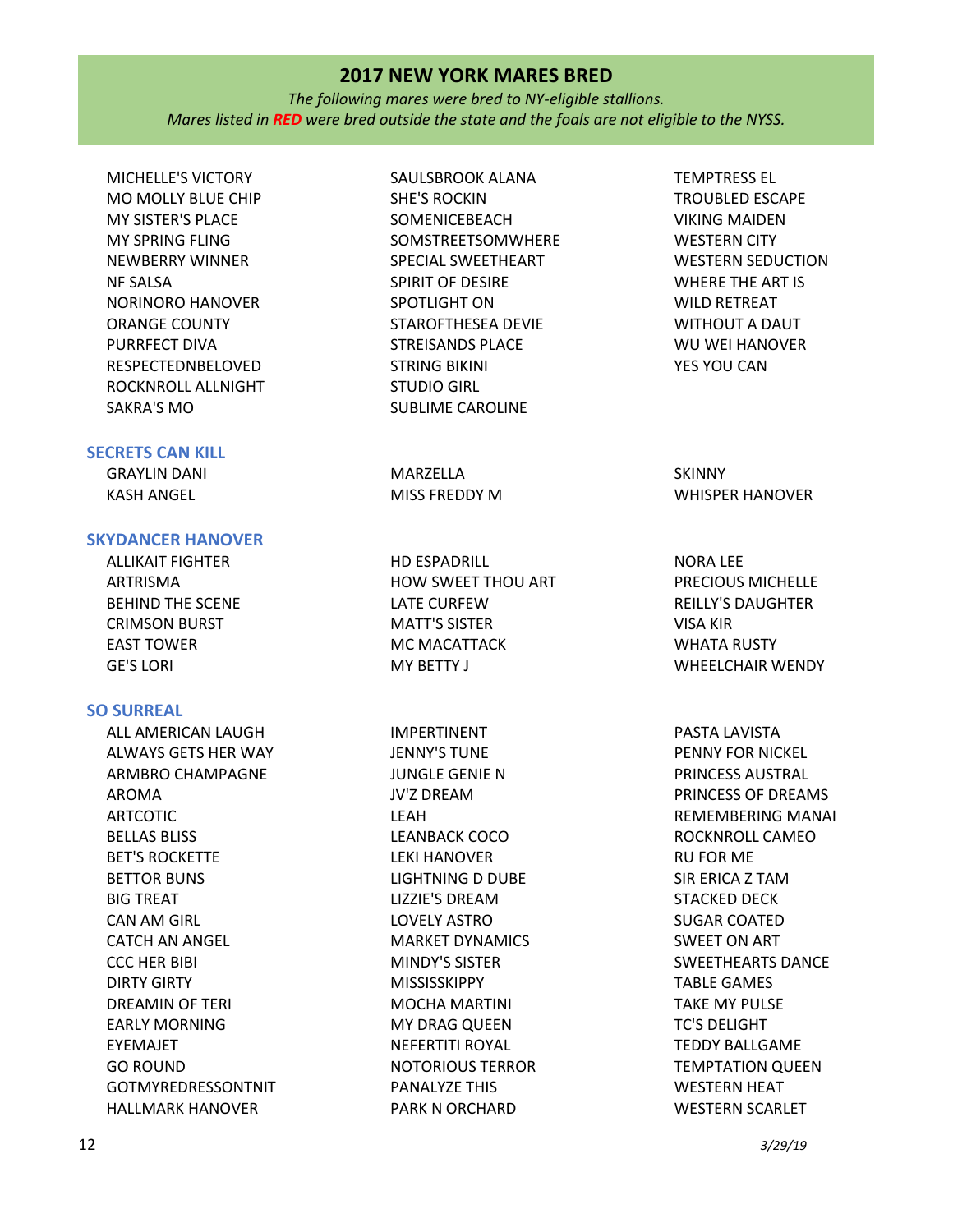*The following mares were bred to NY-eligible stallions. Mares listed in RED were bred outside the state and the foals are not eligible to the NYSS.*

MICHELLE'S VICTORY MO MOLLY BLUE CHIP MY SISTER'S PLACE MY SPRING FLING NEWBERRY WINNER NF SALSA NORINORO HANOVER ORANGE COUNTY PURRFECT DIVA RESPECTEDNBELOVED ROCKNROLL ALLNIGHT SAKRA'S MO

# **SECRETS CAN KILL**

GRAYLIN DANI KASH ANGEL **MARZELLA** MISS FREDDY M

# **SKYDANCER HANOVER**

ALLIKAIT FIGHTER ARTRISMA BEHIND THE SCENE CRIMSON BURST EAST TOWER GE'S LORI

## **SO SURREAL**

ALL AMERICAN LAUGH ALWAYS GETS HER WAY ARMBRO CHAMPAGNE AROMA ARTCOTIC BELLAS BLISS BET'S ROCKETTE BETTOR BUNS BIG TREAT CAN AM GIRL CATCH AN ANGEL CCC HER BIBI DIRTY GIRTY DREAMIN OF TERI EARLY MORNING EYEMAJET GO ROUND GOTMYREDRESSONTNIT HALLMARK HANOVER

SAULSBROOK ALANA SHE'S ROCKIN **SOMENICEBEACH** SOMSTREETSOMWHERE SPECIAL SWEETHEART SPIRIT OF DESIRE SPOTLIGHT ON STAROFTHESEA DEVIE STREISANDS PLACE STRING BIKINI STUDIO GIRL SUBLIME CAROLINE

HD ESPADRILL HOW SWEET THOU ART LATE CURFEW MATT'S SISTER MC MACATTACK MY BETTY J

IMPERTINENT JENNY'S TUNE JUNGLE GENIE N JV'Z DREAM LEAH LEANBACK COCO LEKI HANOVER LIGHTNING D DUBE LIZZIE'S DREAM LOVELY ASTRO MARKET DYNAMICS MINDY'S SISTER MISSISSKIPPY MOCHA MARTINI MY DRAG QUEEN NEFERTITI ROYAL NOTORIOUS TERROR PANALYZE THIS PARK N ORCHARD

TEMPTRESS EL TROUBLED ESCAPE VIKING MAIDEN WESTERN CITY WESTERN SEDUCTION WHERE THE ART IS WILD RETREAT WITHOUT A DAUT WU WEI HANOVER YES YOU CAN

**SKINNY** WHISPER HANOVER

NORA LEE PRECIOUS MICHELLE REILLY'S DAUGHTER VISA KIR WHATA RUSTY WHEELCHAIR WENDY

PASTA LAVISTA PENNY FOR NICKEL PRINCESS AUSTRAL PRINCESS OF DREAMS REMEMBERING MANAI ROCKNROLL CAMEO RU FOR ME SIR ERICA Z TAM STACKED DECK SUGAR COATED SWEET ON ART SWEETHEARTS DANCE TABLE GAMES TAKE MY PULSE TC'S DELIGHT TEDDY BALLGAME TEMPTATION QUEEN WESTERN HEAT WESTERN SCARLET